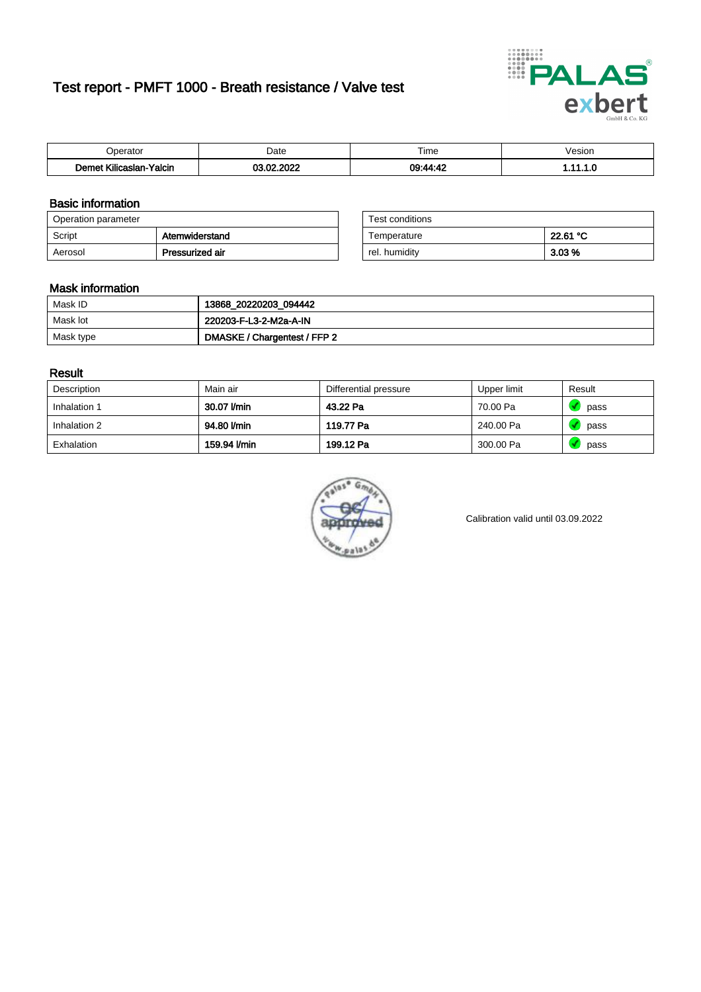# Test report - PMFT 1000 - Breath resistance / Valve test



| maxmax                                              | Date      | $- \cdot$<br>l ime | esion |
|-----------------------------------------------------|-----------|--------------------|-------|
| -<br><b>SAMP</b><br><b>Yalcin</b><br>aslan<br>Kilic | 000<br>~~ | 00.44.4            | .     |

### Basic information

| Operation parameter |                 | Test conditions |          |
|---------------------|-----------------|-----------------|----------|
| Script              | Atemwiderstand  | Temperature     | 22.61 °C |
| Aerosol             | Pressurized air | rel. humidity   | $3.03\%$ |

| Test conditions |          |
|-----------------|----------|
| Temperature     | 22.61 °C |
| rel. humidity   | 3.03%    |

### Mask information

| Mask ID   | 13868_20220203_094442        |
|-----------|------------------------------|
| Mask lot  | 220203-F-L3-2-M2a-A-IN       |
| Mask type | DMASKE / Chargentest / FFP 2 |

### Result

| Description  | Main air     | Differential pressure | Upper limit | Result |
|--------------|--------------|-----------------------|-------------|--------|
| Inhalation 1 | 30.07 l/min  | 43.22 Pa              | 70.00 Pa    | pass   |
| Inhalation 2 | 94.80 l/min  | 119.77 Pa             | 240.00 Pa   | pass   |
| Exhalation   | 159.94 l/min | 199.12 Pa             | 300.00 Pa   | pass   |



Calibration valid until 03.09.2022